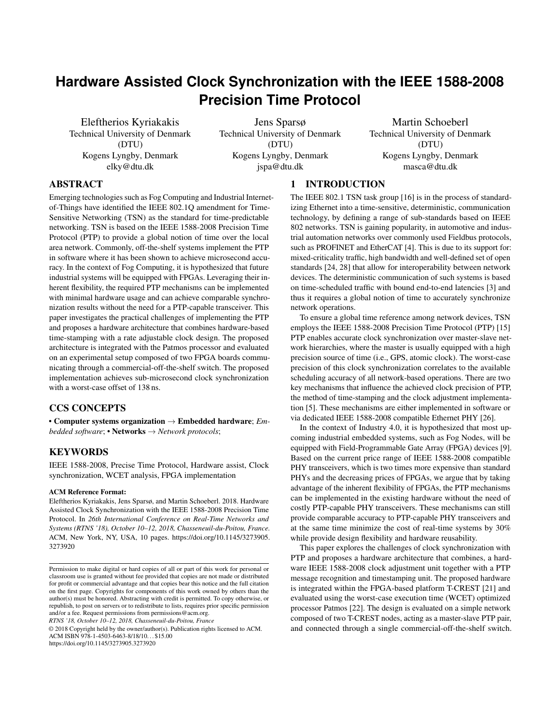# **Hardware Assisted Clock Synchronization with the IEEE 1588-2008 Precision Time Protocol**

Eleftherios Kyriakakis Technical University of Denmark (DTU) Kogens Lyngby, Denmark elky@dtu.dk

Jens Sparsø Technical University of Denmark (DTU) Kogens Lyngby, Denmark jspa@dtu.dk

Martin Schoeberl Technical University of Denmark (DTU) Kogens Lyngby, Denmark masca@dtu.dk

# ABSTRACT

Emerging technologies such as Fog Computing and Industrial Internetof-Things have identified the IEEE 802.1Q amendment for Time-Sensitive Networking (TSN) as the standard for time-predictable networking. TSN is based on the IEEE 1588-2008 Precision Time Protocol (PTP) to provide a global notion of time over the local area network. Commonly, off-the-shelf systems implement the PTP in software where it has been shown to achieve microsecond accuracy. In the context of Fog Computing, it is hypothesized that future industrial systems will be equipped with FPGAs. Leveraging their inherent flexibility, the required PTP mechanisms can be implemented with minimal hardware usage and can achieve comparable synchronization results without the need for a PTP-capable transceiver. This paper investigates the practical challenges of implementing the PTP and proposes a hardware architecture that combines hardware-based time-stamping with a rate adjustable clock design. The proposed architecture is integrated with the Patmos processor and evaluated on an experimental setup composed of two FPGA boards communicating through a commercial-off-the-shelf switch. The proposed implementation achieves sub-microsecond clock synchronization with a worst-case offset of 138 ns.

# CCS CONCEPTS

• Computer systems organization → Embedded hardware; *Embedded software*; • Networks → *Network protocols*;

# **KEYWORDS**

IEEE 1588-2008, Precise Time Protocol, Hardware assist, Clock synchronization, WCET analysis, FPGA implementation

#### ACM Reference Format:

Eleftherios Kyriakakis, Jens Sparsø, and Martin Schoeberl. 2018. Hardware Assisted Clock Synchronization with the IEEE 1588-2008 Precision Time Protocol. In *26th International Conference on Real-Time Networks and Systems (RTNS '18), October 10–12, 2018, Chasseneuil-du-Poitou, France.* ACM, New York, NY, USA, [10](#page-9-0) pages. [https://doi.org/10.1145/3273905.](https://doi.org/10.1145/3273905.3273920) [3273920](https://doi.org/10.1145/3273905.3273920)

*RTNS '18, October 10–12, 2018, Chasseneuil-du-Poitou, France*

© 2018 Copyright held by the owner/author(s). Publication rights licensed to ACM. ACM ISBN 978-1-4503-6463-8/18/10. . . \$15.00

<https://doi.org/10.1145/3273905.3273920>

# 1 INTRODUCTION

The IEEE 802.1 TSN task group [\[16\]](#page-9-1) is in the process of standardizing Ethernet into a time-sensitive, deterministic, communication technology, by defining a range of sub-standards based on IEEE 802 networks. TSN is gaining popularity, in automotive and industrial automation networks over commonly used Fieldbus protocols, such as PROFINET and EtherCAT [\[4\]](#page-8-0). This is due to its support for: mixed-criticality traffic, high bandwidth and well-defined set of open standards [\[24,](#page-9-2) [28\]](#page-9-3) that allow for interoperability between network devices. The deterministic communication of such systems is based on time-scheduled traffic with bound end-to-end latencies [\[3\]](#page-8-1) and thus it requires a global notion of time to accurately synchronize network operations.

To ensure a global time reference among network devices, TSN employs the IEEE 1588-2008 Precision Time Protocol (PTP) [\[15\]](#page-8-2) PTP enables accurate clock synchronization over master-slave network hierarchies, where the master is usually equipped with a high precision source of time (i.e., GPS, atomic clock). The worst-case precision of this clock synchronization correlates to the available scheduling accuracy of all network-based operations. There are two key mechanisms that influence the achieved clock precision of PTP, the method of time-stamping and the clock adjustment implementation [\[5\]](#page-8-3). These mechanisms are either implemented in software or via dedicated IEEE 1588-2008 compatible Ethernet PHY [\[26\]](#page-9-4).

In the context of Industry 4.0, it is hypothesized that most upcoming industrial embedded systems, such as Fog Nodes, will be equipped with Field-Programmable Gate Array (FPGA) devices [\[9\]](#page-8-4). Based on the current price range of IEEE 1588-2008 compatible PHY transceivers, which is two times more expensive than standard PHYs and the decreasing prices of FPGAs, we argue that by taking advantage of the inherent flexibility of FPGAs, the PTP mechanisms can be implemented in the existing hardware without the need of costly PTP-capable PHY transceivers. These mechanisms can still provide comparable accuracy to PTP-capable PHY transceivers and at the same time minimize the cost of real-time systems by 30% while provide design flexibility and hardware reusability.

This paper explores the challenges of clock synchronization with PTP and proposes a hardware architecture that combines, a hardware IEEE 1588-2008 clock adjustment unit together with a PTP message recognition and timestamping unit. The proposed hardware is integrated within the FPGA-based platform T-CREST [\[21\]](#page-9-5) and evaluated using the worst-case execution time (WCET) optimized processor Patmos [\[22\]](#page-9-6). The design is evaluated on a simple network composed of two T-CREST nodes, acting as a master-slave PTP pair, and connected through a single commercial-off-the-shelf switch.

Permission to make digital or hard copies of all or part of this work for personal or classroom use is granted without fee provided that copies are not made or distributed for profit or commercial advantage and that copies bear this notice and the full citation on the first page. Copyrights for components of this work owned by others than the author(s) must be honored. Abstracting with credit is permitted. To copy otherwise, or republish, to post on servers or to redistribute to lists, requires prior specific permission and/or a fee. Request permissions from permissions@acm.org.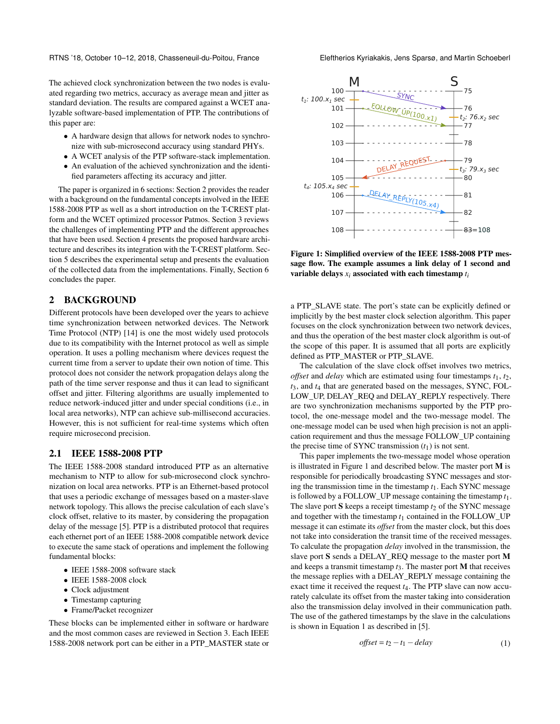RTNS '18, October 10–12, 2018, Chasseneuil-du-Poitou, France Eleftherios Kyriakakis, Jens Sparsø, and Martin Schoeberl

The achieved clock synchronization between the two nodes is evaluated regarding two metrics, accuracy as average mean and jitter as standard deviation. The results are compared against a WCET analyzable software-based implementation of PTP. The contributions of this paper are:

- A hardware design that allows for network nodes to synchronize with sub-microsecond accuracy using standard PHYs.
- A WCET analysis of the PTP software-stack implementation.
- An evaluation of the achieved synchronization and the identified parameters affecting its accuracy and jitter.

The paper is organized in 6 sections: Section [2](#page-1-0) provides the reader with a background on the fundamental concepts involved in the IEEE 1588-2008 PTP as well as a short introduction on the T-CREST platform and the WCET optimized processor Patmos. Section [3](#page-2-0) reviews the challenges of implementing PTP and the different approaches that have been used. Section [4](#page-3-0) presents the proposed hardware architecture and describes its integration with the T-CREST platform. Section [5](#page-5-0) describes the experimental setup and presents the evaluation of the collected data from the implementations. Finally, Section [6](#page-7-0) concludes the paper.

# <span id="page-1-0"></span>2 BACKGROUND

Different protocols have been developed over the years to achieve time synchronization between networked devices. The Network Time Protocol (NTP) [\[14\]](#page-8-5) is one the most widely used protocols due to its compatibility with the Internet protocol as well as simple operation. It uses a polling mechanism where devices request the current time from a server to update their own notion of time. This protocol does not consider the network propagation delays along the path of the time server response and thus it can lead to significant offset and jitter. Filtering algorithms are usually implemented to reduce network-induced jitter and under special conditions (i.e., in local area networks), NTP can achieve sub-millisecond accuracies. However, this is not sufficient for real-time systems which often require microsecond precision.

# 2.1 IEEE 1588-2008 PTP

The IEEE 1588-2008 standard introduced PTP as an alternative mechanism to NTP to allow for sub-microsecond clock synchronization on local area networks. PTP is an Ethernet-based protocol that uses a periodic exchange of messages based on a master-slave network topology. This allows the precise calculation of each slave's clock offset, relative to its master, by considering the propagation delay of the message [\[5\]](#page-8-3). PTP is a distributed protocol that requires each ethernet port of an IEEE 1588-2008 compatible network device to execute the same stack of operations and implement the following fundamental blocks:

- IEEE 1588-2008 software stack
- IEEE 1588-2008 clock
- Clock adjustment
- Timestamp capturing
- Frame/Packet recognizer

These blocks can be implemented either in software or hardware and the most common cases are reviewed in Section [3.](#page-2-0) Each IEEE 1588-2008 network port can be either in a PTP\_MASTER state or

<span id="page-1-1"></span>

Figure 1: Simplified overview of the IEEE 1588-2008 PTP message flow. The example assumes a link delay of 1 second and variable delays  $x_i$  associated with each timestamp  $t_i$ 

a PTP\_SLAVE state. The port's state can be explicitly defined or implicitly by the best master clock selection algorithm. This paper focuses on the clock synchronization between two network devices, and thus the operation of the best master clock algorithm is out-of the scope of this paper. It is assumed that all ports are explicitly defined as PTP\_MASTER or PTP\_SLAVE.

The calculation of the slave clock offset involves two metrics, *offset* and *delay* which are estimated using four timestamps *t*1, *t*2, *t*3, and *t*<sup>4</sup> that are generated based on the messages, SYNC, FOL-LOW\_UP, DELAY\_REQ and DELAY\_REPLY respectively. There are two synchronization mechanisms supported by the PTP protocol, the one-message model and the two-message model. The one-message model can be used when high precision is not an application requirement and thus the message FOLLOW\_UP containing the precise time of SYNC transmission  $(t_1)$  is not sent.

This paper implements the two-message model whose operation is illustrated in Figure [1](#page-1-1) and described below. The master port M is responsible for periodically broadcasting SYNC messages and storing the transmission time in the timestamp *t*1. Each SYNC message is followed by a FOLLOW\_UP message containing the timestamp *t*1. The slave port  $S$  keeps a receipt timestamp  $t_2$  of the SYNC message and together with the timestamp  $t_1$  contained in the FOLLOW\_UP message it can estimate its *offset* from the master clock, but this does not take into consideration the transit time of the received messages. To calculate the propagation *delay* involved in the transmission, the slave port S sends a DELAY\_REQ message to the master port M and keeps a transmit timestamp  $t_3$ . The master port **M** that receives the message replies with a DELAY\_REPLY message containing the exact time it received the request *t*4. The PTP slave can now accurately calculate its offset from the master taking into consideration also the transmission delay involved in their communication path. The use of the gathered timestamps by the slave in the calculations is shown in Equation [1](#page-1-2) as described in [\[5\]](#page-8-3).

<span id="page-1-2"></span>
$$
offset = t_2 - t_1 - delay \tag{1}
$$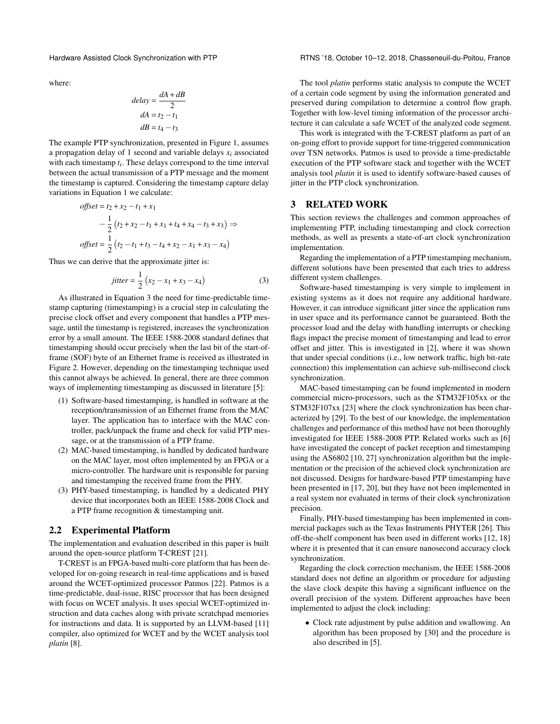where:

$$
delay = \frac{dA + dB}{2}
$$

$$
dA = t_2 - t_1
$$

$$
dB = t_4 - t_3
$$

The example PTP synchronization, presented in Figure [1,](#page-1-1) assumes a propagation delay of 1 second and variable delays  $x_i$  associated with each timestamp *ti* . These delays correspond to the time interval between the actual transmission of a PTP message and the moment the timestamp is captured. Considering the timestamp capture delay variations in Equation [1](#page-1-2) we calculate:

offset = 
$$
t_2 + x_2 - t_1 + x_1
$$
  
\n
$$
- \frac{1}{2} (t_2 + x_2 - t_1 + x_1 + t_4 + x_4 - t_3 + x_3) \Rightarrow
$$
\noffset =  $\frac{1}{2} (t_2 - t_1 + t_3 - t_4 + x_2 - x_1 + x_3 - x_4)$ 

Thus we can derive that the approximate jitter is:

<span id="page-2-1"></span>
$$
jitter = \frac{1}{2} (x_2 - x_1 + x_3 - x_4)
$$
 (3)

As illustrated in Equation [3](#page-2-1) the need for time-predictable timestamp capturing (timestamping) is a crucial step in calculating the precise clock offset and every component that handles a PTP message, until the timestamp is registered, increases the synchronization error by a small amount. The IEEE 1588-2008 standard defines that timestamping should occur precisely when the last bit of the start-offrame (SOF) byte of an Ethernet frame is received as illustrated in Figure [2.](#page-3-1) However, depending on the timestamping technique used this cannot always be achieved. In general, there are three common ways of implementing timestamping as discussed in literature [\[5\]](#page-8-3):

- (1) Software-based timestamping, is handled in software at the reception/transmission of an Ethernet frame from the MAC layer. The application has to interface with the MAC controller, pack/unpack the frame and check for valid PTP message, or at the transmission of a PTP frame.
- (2) MAC-based timestamping, is handled by dedicated hardware on the MAC layer, most often implemented by an FPGA or a micro-controller. The hardware unit is responsible for parsing and timestamping the received frame from the PHY.
- (3) PHY-based timestamping, is handled by a dedicated PHY device that incorporates both an IEEE 1588-2008 Clock and a PTP frame recognition & timestamping unit.

#### 2.2 Experimental Platform

The implementation and evaluation described in this paper is built around the open-source platform T-CREST [\[21\]](#page-9-5).

T-CREST is an FPGA-based multi-core platform that has been developed for on-going research in real-time applications and is based around the WCET-optimized processor Patmos [\[22\]](#page-9-6). Patmos is a time-predictable, dual-issue, RISC processor that has been designed with focus on WCET analysis. It uses special WCET-optimized instruction and data caches along with private scratchpad memories for instructions and data. It is supported by an LLVM-based [\[11\]](#page-8-6) compiler, also optimized for WCET and by the WCET analysis tool *platin* [\[8\]](#page-8-7).

Hardware Assisted Clock Synchronization with PTP RTNS '18, October 10–12, 2018, Chasseneuil-du-Poitou, France

The tool *platin* performs static analysis to compute the WCET of a certain code segment by using the information generated and preserved during compilation to determine a control flow graph. Together with low-level timing information of the processor architecture it can calculate a safe WCET of the analyzed code segment.

This work is integrated with the T-CREST platform as part of an on-going effort to provide support for time-triggered communication over TSN networks. Patmos is used to provide a time-predictable execution of the PTP software stack and together with the WCET analysis tool *platin* it is used to identify software-based causes of jitter in the PTP clock synchronization.

# <span id="page-2-0"></span>3 RELATED WORK

This section reviews the challenges and common approaches of implementing PTP, including timestamping and clock correction methods, as well as presents a state-of-art clock synchronization implementation.

Regarding the implementation of a PTP timestamping mechanism, different solutions have been presented that each tries to address different system challenges.

Software-based timestamping is very simple to implement in existing systems as it does not require any additional hardware. However, it can introduce significant jitter since the application runs in user space and its performance cannot be guaranteed. Both the processor load and the delay with handling interrupts or checking flags impact the precise moment of timestamping and lead to error offset and jitter. This is investigated in [\[2\]](#page-8-8), where it was shown that under special conditions (i.e., low network traffic, high bit-rate connection) this implementation can achieve sub-millisecond clock synchronization.

MAC-based timestamping can be found implemented in modern commercial micro-processors, such as the STM32F105xx or the STM32F107xx [\[23\]](#page-9-7) where the clock synchronization has been characterized by [\[29\]](#page-9-8). To the best of our knowledge, the implementation challenges and performance of this method have not been thoroughly investigated for IEEE 1588-2008 PTP. Related works such as [\[6\]](#page-8-9) have investigated the concept of packet reception and timestamping using the AS6802 [\[10,](#page-8-10) [27\]](#page-9-9) synchronization algorithm but the implementation or the precision of the achieved clock synchronization are not discussed. Designs for hardware-based PTP timestamping have been presented in [\[17,](#page-9-10) [20\]](#page-9-11), but they have not been implemented in a real system nor evaluated in terms of their clock synchronization precision.

Finally, PHY-based timestamping has been implemented in commercial packages such as the Texas Instruments PHYTER [\[26\]](#page-9-4). This off-the-shelf component has been used in different works [\[12,](#page-8-11) [18\]](#page-9-12) where it is presented that it can ensure nanosecond accuracy clock synchronization.

Regarding the clock correction mechanism, the IEEE 1588-2008 standard does not define an algorithm or procedure for adjusting the slave clock despite this having a significant influence on the overall precision of the system. Different approaches have been implemented to adjust the clock including:

• Clock rate adjustment by pulse addition and swallowing. An algorithm has been proposed by [\[30\]](#page-9-13) and the procedure is also described in [\[5\]](#page-8-3).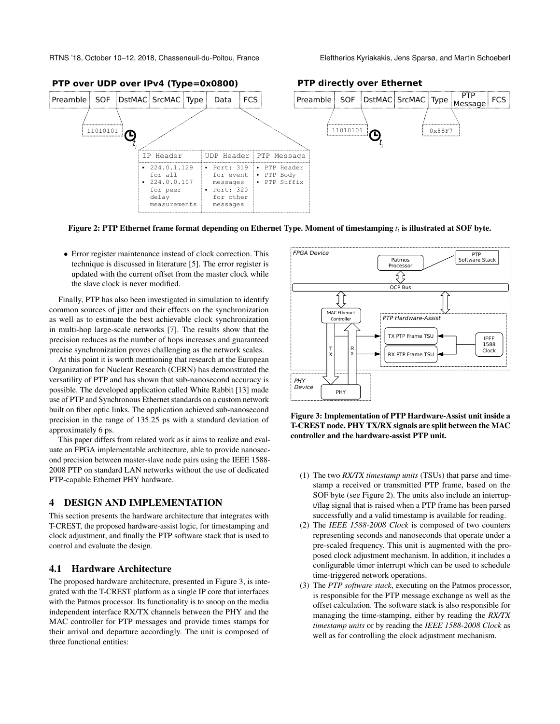<span id="page-3-1"></span>

Figure 2: PTP Ethernet frame format depending on Ethernet Type. Moment of timestamping *ti* is illustrated at SOF byte.

• Error register maintenance instead of clock correction. This technique is discussed in literature [\[5\]](#page-8-3). The error register is updated with the current offset from the master clock while the slave clock is never modified.

Finally, PTP has also been investigated in simulation to identify common sources of jitter and their effects on the synchronization as well as to estimate the best achievable clock synchronization in multi-hop large-scale networks [\[7\]](#page-8-12). The results show that the precision reduces as the number of hops increases and guaranteed precise synchronization proves challenging as the network scales.

At this point it is worth mentioning that research at the European Organization for Nuclear Research (CERN) has demonstrated the versatility of PTP and has shown that sub-nanosecond accuracy is possible. The developed application called White Rabbit [\[13\]](#page-8-13) made use of PTP and Synchronous Ethernet standards on a custom network built on fiber optic links. The application achieved sub-nanosecond precision in the range of 135.25 ps with a standard deviation of approximately 6 ps.

This paper differs from related work as it aims to realize and evaluate an FPGA implementable architecture, able to provide nanosecond precision between master-slave node pairs using the IEEE 1588- 2008 PTP on standard LAN networks without the use of dedicated PTP-capable Ethernet PHY hardware.

### <span id="page-3-0"></span>4 DESIGN AND IMPLEMENTATION

This section presents the hardware architecture that integrates with T-CREST, the proposed hardware-assist logic, for timestamping and clock adjustment, and finally the PTP software stack that is used to control and evaluate the design.

# 4.1 Hardware Architecture

The proposed hardware architecture, presented in Figure [3,](#page-3-2) is integrated with the T-CREST platform as a single IP core that interfaces with the Patmos processor. Its functionality is to snoop on the media independent interface RX/TX channels between the PHY and the MAC controller for PTP messages and provide times stamps for their arrival and departure accordingly. The unit is composed of three functional entities:

<span id="page-3-2"></span>

Figure 3: Implementation of PTP Hardware-Assist unit inside a T-CREST node. PHY TX/RX signals are split between the MAC controller and the hardware-assist PTP unit.

- (1) The two *RX/TX timestamp units* (TSUs) that parse and timestamp a received or transmitted PTP frame, based on the SOF byte (see Figure [2\)](#page-3-1). The units also include an interrupt/flag signal that is raised when a PTP frame has been parsed successfully and a valid timestamp is available for reading.
- (2) The *IEEE 1588-2008 Clock* is composed of two counters representing seconds and nanoseconds that operate under a pre-scaled frequency. This unit is augmented with the proposed clock adjustment mechanism. In addition, it includes a configurable timer interrupt which can be used to schedule time-triggered network operations.
- (3) The *PTP software stack*, executing on the Patmos processor, is responsible for the PTP message exchange as well as the offset calculation. The software stack is also responsible for managing the time-stamping, either by reading the *RX/TX timestamp units* or by reading the *IEEE 1588-2008 Clock* as well as for controlling the clock adjustment mechanism.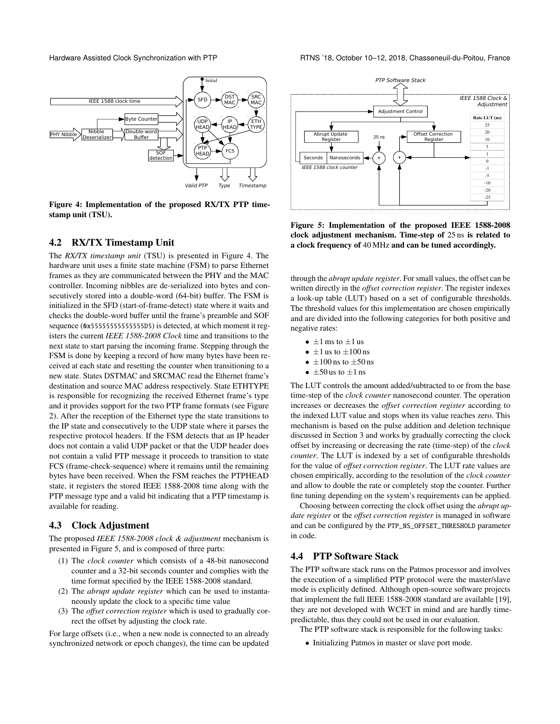<span id="page-4-0"></span>

Figure 4: Implementation of the proposed RX/TX PTP timestamp unit (TSU).

### 4.2 RX/TX Timestamp Unit

The *RX/TX timestamp unit* (TSU) is presented in Figure [4.](#page-4-0) The hardware unit uses a finite state machine (FSM) to parse Ethernet frames as they are communicated between the PHY and the MAC controller. Incoming nibbles are de-serialized into bytes and consecutively stored into a double-word (64-bit) buffer. The FSM is initialized in the SFD (start-of-frame-detect) state where it waits and checks the double-word buffer until the frame's preamble and SOF sequence (0x55555555555555D5) is detected, at which moment it registers the current *IEEE 1588-2008 Clock* time and transitions to the next state to start parsing the incoming frame. Stepping through the FSM is done by keeping a record of how many bytes have been received at each state and resetting the counter when transitioning to a new state. States DSTMAC and SRCMAC read the Ethernet frame's destination and source MAC address respectively. State ETHTYPE is responsible for recognizing the received Ethernet frame's type and it provides support for the two PTP frame formats (see Figure [2\)](#page-3-1). After the reception of the Ethernet type the state transitions to the IP state and consecutively to the UDP state where it parses the respective protocol headers. If the FSM detects that an IP header does not contain a valid UDP packet or that the UDP header does not contain a valid PTP message it proceeds to transition to state FCS (frame-check-sequence) where it remains until the remaining bytes have been received. When the FSM reaches the PTPHEAD state, it registers the stored IEEE 1588-2008 time along with the PTP message type and a valid bit indicating that a PTP timestamp is available for reading.

#### 4.3 Clock Adjustment

The proposed *IEEE 1588-2008 clock & adjustment* mechanism is presented in Figure [5,](#page-4-1) and is composed of three parts:

- (1) The *clock counter* which consists of a 48-bit nanosecond counter and a 32-bit seconds counter and complies with the time format specified by the IEEE 1588-2008 standard.
- (2) The *abrupt update register* which can be used to instantaneously update the clock to a specific time value
- (3) The *offset correction register* which is used to gradually correct the offset by adjusting the clock rate.

For large offsets (i.e., when a new node is connected to an already synchronized network or epoch changes), the time can be updated

<span id="page-4-1"></span>

Figure 5: Implementation of the proposed IEEE 1588-2008 clock adjustment mechanism. Time-step of 25 ns is related to a clock frequency of 40 MHz and can be tuned accordingly.

through the *abrupt update register*. For small values, the offset can be written directly in the *offset correction register*. The register indexes a look-up table (LUT) based on a set of configurable thresholds. The threshold values for this implementation are chosen empirically and are divided into the following categories for both positive and negative rates:

- $\bullet$   $\pm 1$  ms to  $\pm 1$  us
- $\pm 1$  us to  $\pm 100$  ns
- $\pm 100$  ns to  $\pm 50$  ns
- $\pm 50$  us to  $\pm 1$  ns

The LUT controls the amount added/subtracted to or from the base time-step of the *clock counter* nanosecond counter. The operation increases or decreases the *offset correction register* according to the indexed LUT value and stops when its value reaches zero. This mechanism is based on the pulse addition and deletion technique discussed in Section [3](#page-2-0) and works by gradually correcting the clock offset by increasing or decreasing the rate (time-step) of the *clock counter*. The LUT is indexed by a set of configurable thresholds for the value of *offset correction register*. The LUT rate values are chosen empirically, according to the resolution of the *clock counter* and allow to double the rate or completely stop the counter. Further fine tuning depending on the system's requirements can be applied.

Choosing between correcting the clock offset using the *abrupt update register* or the *offset correction register* is managed in software and can be configured by the PTP\_NS\_OFFSET\_THRESHOLD parameter in code.

# 4.4 PTP Software Stack

The PTP software stack runs on the Patmos processor and involves the execution of a simplified PTP protocol were the master/slave mode is explicitly defined. Although open-source software projects that implement the full IEEE 1588-2008 standard are available [\[19\]](#page-9-14), they are not developed with WCET in mind and are hardly timepredictable, thus they could not be used in our evaluation.

The PTP software stack is responsible for the following tasks:

• Initializing Patmos in master or slave port mode.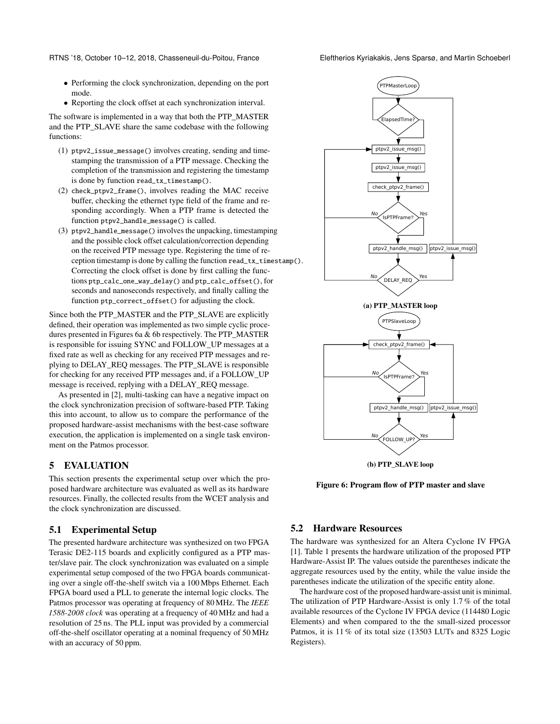RTNS '18, October 10–12, 2018, Chasseneuil-du-Poitou, France Eleftherios Kyriakakis, Jens Sparsø, and Martin Schoeberl

- Performing the clock synchronization, depending on the port mode.
- Reporting the clock offset at each synchronization interval.

The software is implemented in a way that both the PTP\_MASTER and the PTP\_SLAVE share the same codebase with the following functions:

- (1) ptpv2\_issue\_message() involves creating, sending and timestamping the transmission of a PTP message. Checking the completion of the transmission and registering the timestamp is done by function read\_tx\_timestamp().
- (2) check\_ptpv2\_frame(), involves reading the MAC receive buffer, checking the ethernet type field of the frame and responding accordingly. When a PTP frame is detected the function ptpv2\_handle\_message() is called.
- (3) ptpv2\_handle\_message() involves the unpacking, timestamping and the possible clock offset calculation/correction depending on the received PTP message type. Registering the time of reception timestamp is done by calling the function read\_tx\_timestamp(). Correcting the clock offset is done by first calling the functions ptp\_calc\_one\_way\_delay() and ptp\_calc\_offset(), for seconds and nanoseconds respectively, and finally calling the function ptp\_correct\_offset() for adjusting the clock.

Since both the PTP\_MASTER and the PTP\_SLAVE are explicitly defined, their operation was implemented as two simple cyclic procedures presented in Figures [6a](#page-5-1) & [6b](#page-5-1) respectively. The PTP\_MASTER is responsible for issuing SYNC and FOLLOW\_UP messages at a fixed rate as well as checking for any received PTP messages and replying to DELAY\_REQ messages. The PTP\_SLAVE is responsible for checking for any received PTP messages and, if a FOLLOW\_UP message is received, replying with a DELAY\_REQ message.

As presented in [\[2\]](#page-8-8), multi-tasking can have a negative impact on the clock synchronization precision of software-based PTP. Taking this into account, to allow us to compare the performance of the proposed hardware-assist mechanisms with the best-case software execution, the application is implemented on a single task environment on the Patmos processor.

### <span id="page-5-0"></span>5 EVALUATION

This section presents the experimental setup over which the proposed hardware architecture was evaluated as well as its hardware resources. Finally, the collected results from the WCET analysis and the clock synchronization are discussed.

### 5.1 Experimental Setup

The presented hardware architecture was synthesized on two FPGA Terasic DE2-115 boards and explicitly configured as a PTP master/slave pair. The clock synchronization was evaluated on a simple experimental setup composed of the two FPGA boards communicating over a single off-the-shelf switch via a 100 Mbps Ethernet. Each FPGA board used a PLL to generate the internal logic clocks. The Patmos processor was operating at frequency of 80 MHz. The *IEEE 1588-2008 clock* was operating at a frequency of 40 MHz and had a resolution of 25 ns. The PLL input was provided by a commercial off-the-shelf oscillator operating at a nominal frequency of 50 MHz with an accuracy of 50 ppm.

<span id="page-5-1"></span>

Figure 6: Program flow of PTP master and slave

#### 5.2 Hardware Resources

The hardware was synthesized for an Altera Cyclone IV FPGA [\[1\]](#page-8-14). Table [1](#page-6-0) presents the hardware utilization of the proposed PTP Hardware-Assist IP. The values outside the parentheses indicate the aggregate resources used by the entity, while the value inside the parentheses indicate the utilization of the specific entity alone.

The hardware cost of the proposed hardware-assist unit is minimal. The utilization of PTP Hardware-Assist is only 1.7 % of the total available resources of the Cyclone IV FPGA device (114480 Logic Elements) and when compared to the the small-sized processor Patmos, it is 11 % of its total size (13503 LUTs and 8325 Logic Registers).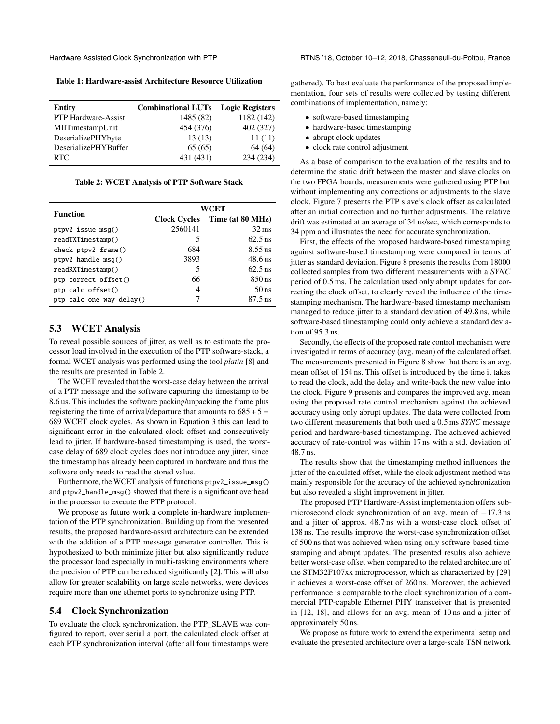<span id="page-6-0"></span>Table 1: Hardware-assist Architecture Resource Utilization

| Entity                      | <b>Combinational LUTs</b> | <b>Logic Registers</b> |
|-----------------------------|---------------------------|------------------------|
| PTP Hardware-Assist         | 1485 (82)                 | 1182 (142)             |
| MIITimestampUnit            | 454 (376)                 | 402 (327)              |
| DeserializePHYbyte          | 13(13)                    | 11(11)                 |
| <b>DeserializePHYBuffer</b> | 65(65)                    | 64 (64)                |
| RTC.                        | 431 (431)                 | 234 (234)              |

Table 2: WCET Analysis of PTP Software Stack

<span id="page-6-1"></span>

| <b>Function</b>          | WCET                |                    |
|--------------------------|---------------------|--------------------|
|                          | <b>Clock Cycles</b> | Time (at 80 MHz)   |
| $ptpv2_issue_msq()$      | 2560141             | $32 \,\mathrm{ms}$ |
| readTXTimestamp()        | 5                   | $62.5$ ns          |
| check_ptpv2_frame()      | 684                 | $8.55$ us          |
| ptpv2_handle_msg()       | 3893                | 48.6 us            |
| readRXTimestamp()        | 5                   | $62.5$ ns          |
| ptp_correct_offset()     | 66                  | $850$ ns           |
| ptp_calc_offset()        | 4                   | $50$ ns            |
| ptp_calc_one_way_delay() | 7                   | $87.5$ ns          |

#### 5.3 WCET Analysis

To reveal possible sources of jitter, as well as to estimate the processor load involved in the execution of the PTP software-stack, a formal WCET analysis was performed using the tool *platin* [\[8\]](#page-8-7) and the results are presented in Table [2.](#page-6-1)

The WCET revealed that the worst-case delay between the arrival of a PTP message and the software capturing the timestamp to be 8.6 us. This includes the software packing/unpacking the frame plus registering the time of arrival/departure that amounts to  $685 + 5 =$ 689 WCET clock cycles. As shown in Equation [3](#page-2-1) this can lead to significant error in the calculated clock offset and consecutively lead to jitter. If hardware-based timestamping is used, the worstcase delay of 689 clock cycles does not introduce any jitter, since the timestamp has already been captured in hardware and thus the software only needs to read the stored value.

Furthermore, the WCET analysis of functions ptpv2\_issue\_msg() and ptpv2\_handle\_msg() showed that there is a significant overhead in the processor to execute the PTP protocol.

We propose as future work a complete in-hardware implementation of the PTP synchronization. Building up from the presented results, the proposed hardware-assist architecture can be extended with the addition of a PTP message generator controller. This is hypothesized to both minimize jitter but also significantly reduce the processor load especially in multi-tasking environments where the precision of PTP can be reduced significantly [\[2\]](#page-8-8). This will also allow for greater scalability on large scale networks, were devices require more than one ethernet ports to synchronize using PTP.

#### 5.4 Clock Synchronization

To evaluate the clock synchronization, the PTP\_SLAVE was configured to report, over serial a port, the calculated clock offset at each PTP synchronization interval (after all four timestamps were

gathered). To best evaluate the performance of the proposed implementation, four sets of results were collected by testing different combinations of implementation, namely:

- software-based timestamping
- hardware-based timestamping
- abrupt clock updates
- clock rate control adjustment

As a base of comparison to the evaluation of the results and to determine the static drift between the master and slave clocks on the two FPGA boards, measurements were gathered using PTP but without implementing any corrections or adjustments to the slave clock. Figure [7](#page-7-1) presents the PTP slave's clock offset as calculated after an initial correction and no further adjustments. The relative drift was estimated at an average of 34 us/sec, which corresponds to 34 ppm and illustrates the need for accurate synchronization.

First, the effects of the proposed hardware-based timestamping against software-based timestamping were compared in terms of jitter as standard deviation. Figure [8](#page-7-2) presents the results from 18000 collected samples from two different measurements with a *SYNC* period of 0.5 ms. The calculation used only abrupt updates for correcting the clock offset, to clearly reveal the influence of the timestamping mechanism. The hardware-based timestamp mechanism managed to reduce jitter to a standard deviation of 49.8 ns, while software-based timestamping could only achieve a standard deviation of 95.3 ns.

Secondly, the effects of the proposed rate control mechanism were investigated in terms of accuracy (avg. mean) of the calculated offset. The measurements presented in Figure [8](#page-7-2) show that there is an avg. mean offset of 154 ns. This offset is introduced by the time it takes to read the clock, add the delay and write-back the new value into the clock. Figure [9](#page-8-15) presents and compares the improved avg. mean using the proposed rate control mechanism against the achieved accuracy using only abrupt updates. The data were collected from two different measurements that both used a 0.5 ms *SYNC* message period and hardware-based timestamping. The achieved achieved accuracy of rate-control was within 17 ns with a std. deviation of 48.7 ns.

The results show that the timestamping method influences the jitter of the calculated offset, while the clock adjustment method was mainly responsible for the accuracy of the achieved synchronization but also revealed a slight improvement in jitter.

The proposed PTP Hardware-Assist implementation offers submicrosecond clock synchronization of an avg. mean of −17.3 ns and a jitter of approx. 48.7 ns with a worst-case clock offset of 138 ns. The results improve the worst-case synchronization offset of 500 ns that was achieved when using only software-based timestamping and abrupt updates. The presented results also achieve better worst-case offset when compared to the related architecture of the STM32F107xx microprocessor, which as characterized by [\[29\]](#page-9-8) it achieves a worst-case offset of 260 ns. Moreover, the achieved performance is comparable to the clock synchronization of a commercial PTP-capable Ethernet PHY transceiver that is presented in [\[12,](#page-8-11) [18\]](#page-9-12), and allows for an avg. mean of 10 ns and a jitter of approximately 50 ns.

We propose as future work to extend the experimental setup and evaluate the presented architecture over a large-scale TSN network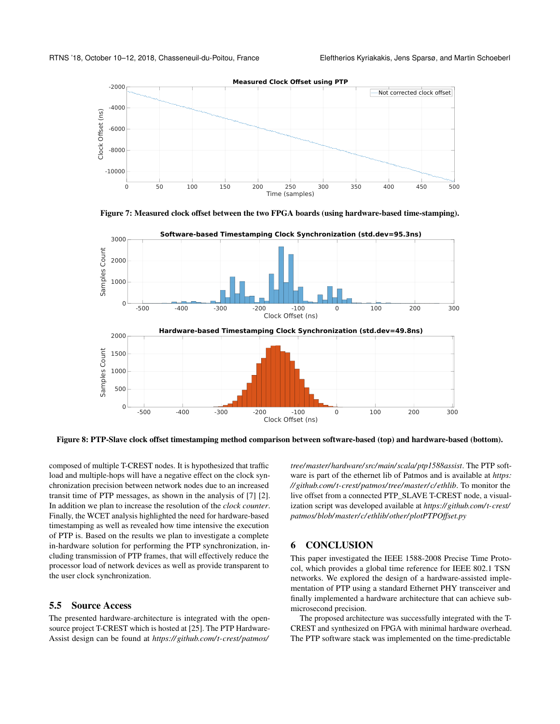<span id="page-7-1"></span>



<span id="page-7-2"></span>

Figure 8: PTP-Slave clock offset timestamping method comparison between software-based (top) and hardware-based (bottom).

composed of multiple T-CREST nodes. It is hypothesized that traffic load and multiple-hops will have a negative effect on the clock synchronization precision between network nodes due to an increased transit time of PTP messages, as shown in the analysis of [\[7\]](#page-8-12) [\[2\]](#page-8-8). In addition we plan to increase the resolution of the *clock counter*. Finally, the WCET analysis highlighted the need for hardware-based timestamping as well as revealed how time intensive the execution of PTP is. Based on the results we plan to investigate a complete in-hardware solution for performing the PTP synchronization, including transmission of PTP frames, that will effectively reduce the processor load of network devices as well as provide transparent to the user clock synchronization.

#### 5.5 Source Access

The presented hardware-architecture is integrated with the opensource project T-CREST which is hosted at [\[25\]](#page-9-15). The PTP Hardware-Assist design can be found at *[https:// github.com/t-crest/ patmos/](https://github.com/t-crest/patmos/tree/master/hardware/src/main/scala/ptp1588assist)*

*[tree/master/ hardware/ src/main/ scala/ ptp1588assist](https://github.com/t-crest/patmos/tree/master/hardware/src/main/scala/ptp1588assist)*. The PTP software is part of the ethernet lib of Patmos and is available at *[https:](https://github.com/t-crest/patmos/tree/master/c/ethlib) [// github.com/t-crest/ patmos/tree/master/c/ethlib](https://github.com/t-crest/patmos/tree/master/c/ethlib)*. To monitor the live offset from a connected PTP\_SLAVE T-CREST node, a visualization script was developed available at *[https:// github.com/t-crest/](https://github.com/t-crest/patmos/blob/master/c/ethlib/other/plotPTPOffset.py) [patmos/ blob/master/c/ethlib/ other/ plotPTPOffset.py](https://github.com/t-crest/patmos/blob/master/c/ethlib/other/plotPTPOffset.py)*

#### <span id="page-7-0"></span>6 CONCLUSION

This paper investigated the IEEE 1588-2008 Precise Time Protocol, which provides a global time reference for IEEE 802.1 TSN networks. We explored the design of a hardware-assisted implementation of PTP using a standard Ethernet PHY transceiver and finally implemented a hardware architecture that can achieve submicrosecond precision.

The proposed architecture was successfully integrated with the T-CREST and synthesized on FPGA with minimal hardware overhead. The PTP software stack was implemented on the time-predictable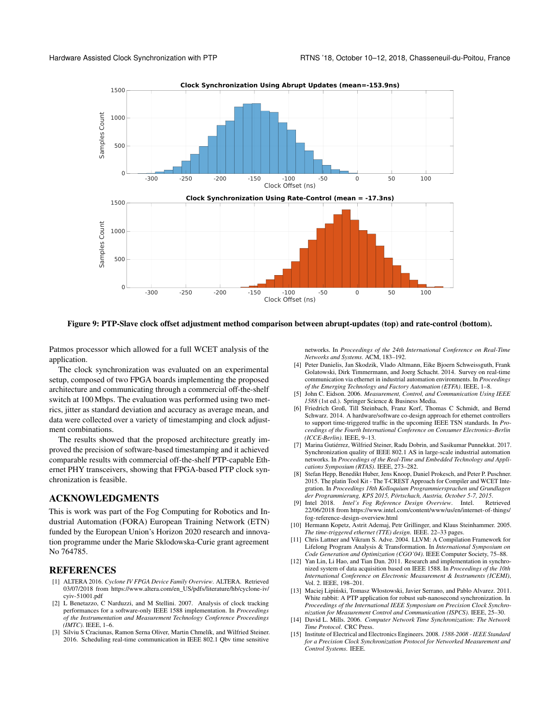<span id="page-8-15"></span>

#### Figure 9: PTP-Slave clock offset adjustment method comparison between abrupt-updates (top) and rate-control (bottom).

Patmos processor which allowed for a full WCET analysis of the application.

The clock synchronization was evaluated on an experimental setup, composed of two FPGA boards implementing the proposed architecture and communicating through a commercial off-the-shelf switch at 100 Mbps. The evaluation was performed using two metrics, jitter as standard deviation and accuracy as average mean, and data were collected over a variety of timestamping and clock adjustment combinations.

The results showed that the proposed architecture greatly improved the precision of software-based timestamping and it achieved comparable results with commercial off-the-shelf PTP-capable Ethernet PHY transceivers, showing that FPGA-based PTP clock synchronization is feasible.

# ACKNOWLEDGMENTS

This is work was part of the Fog Computing for Robotics and Industrial Automation (FORA) European Training Network (ETN) funded by the European Union's Horizon 2020 research and innovation programme under the Marie Sklodowska-Curie grant agreement No 764785.

#### REFERENCES

- <span id="page-8-14"></span>[1] ALTERA 2016. *Cyclone IV FPGA Device Family Overview*. ALTERA. Retrieved 03/07/2018 from [https://www.altera.com/en\\_US/pdfs/literature/hb/cyclone-iv/](https://www.altera.com/en_US/pdfs/literature/hb/cyclone-iv/cyiv-51001.pdf) [cyiv-51001.pdf](https://www.altera.com/en_US/pdfs/literature/hb/cyclone-iv/cyiv-51001.pdf)
- <span id="page-8-8"></span>[2] L Benetazzo, C Narduzzi, and M Stellini. 2007. Analysis of clock tracking performances for a software-only IEEE 1588 implementation. In *Proceedings of the Instrumentation and Measurement Technology Conference Proceedings (IMTC)*. IEEE, 1–6.
- <span id="page-8-1"></span>[3] Silviu S Craciunas, Ramon Serna Oliver, Martin Chmelík, and Wilfried Steiner. 2016. Scheduling real-time communication in IEEE 802.1 Qbv time sensitive

networks. In *Proceedings of the 24th International Conference on Real-Time Networks and Systems*. ACM, 183–192.

- <span id="page-8-0"></span>[4] Peter Danielis, Jan Skodzik, Vlado Altmann, Eike Bjoern Schweissguth, Frank Golatowski, Dirk Timmermann, and Joerg Schacht. 2014. Survey on real-time communication via ethernet in industrial automation environments. In *Proceedings of the Emerging Technology and Factory Automation (ETFA)*. IEEE, 1–8.
- <span id="page-8-3"></span>[5] John C. Eidson. 2006. *Measurement, Control, and Communication Using IEEE 1588* (1st ed.). Springer Science & Business Media.
- <span id="page-8-9"></span>[6] Friedrich Groß, Till Steinbach, Franz Korf, Thomas C Schmidt, and Bernd Schwarz. 2014. A hardware/software co-design approach for ethernet controllers to support time-triggered traffic in the upcoming IEEE TSN standards. In *Proceedings of the Fourth International Conference on Consumer Electronics–Berlin (ICCE-Berlin)*. IEEE, 9–13.
- <span id="page-8-12"></span>[7] Marina Gutiérrez, Wilfried Steiner, Radu Dobrin, and Sasikumar Punnekkat. 2017. Synchronization quality of IEEE 802.1 AS in large-scale industrial automation networks. In *Proceedings of the Real-Time and Embedded Technology and Applications Symposium (RTAS)*. IEEE, 273–282.
- <span id="page-8-7"></span>[8] Stefan Hepp, Benedikt Huber, Jens Knoop, Daniel Prokesch, and Peter P. Puschner. 2015. The platin Tool Kit - The T-CREST Approach for Compiler and WCET Integration. In *Proceedings 18th Kolloquium Programmiersprachen und Grundlagen der Programmierung, KPS 2015, Pörtschach, Austria, October 5-7, 2015*.
- <span id="page-8-4"></span>[9] Intel 2018. *Intel's Fog Reference Design Overview*. Intel. Retrieved 22/06/2018 from [https://www.intel.com/content/www/us/en/internet-of-things/](https://www.intel.com/content/www/us/en/internet-of-things/fog-reference-design-overview.html) [fog-reference-design-overview.html](https://www.intel.com/content/www/us/en/internet-of-things/fog-reference-design-overview.html)
- <span id="page-8-10"></span>[10] Hermann Kopetz, Astrit Ademaj, Petr Grillinger, and Klaus Steinhammer. 2005. *The time-triggered ethernet (TTE) design*. IEEE. 22–33 pages.
- <span id="page-8-6"></span>[11] Chris Lattner and Vikram S. Adve. 2004. LLVM: A Compilation Framework for Lifelong Program Analysis & Transformation. In *International Symposium on Code Generation and Optimization (CGO'04)*. IEEE Computer Society, 75–88.
- <span id="page-8-11"></span>[12] Yan Lin, Li Hao, and Tian Dan. 2011. Research and implementation in synchronized system of data acquisition based on IEEE 1588. In *Proceedings of the 10th International Conference on Electronic Measurement & Instruments (ICEMI)*, Vol. 2. IEEE, 198–201.
- <span id="page-8-13"></span>[13] Maciej Lipiński, Tomasz Włostowski, Javier Serrano, and Pablo Alvarez. 2011. White rabbit: A PTP application for robust sub-nanosecond synchronization. In *Proceedings of the International IEEE Symposium on Precision Clock Synchronization for Measurement Control and Communication (ISPCS)*. IEEE, 25–30.
- <span id="page-8-5"></span>[14] David L. Mills. 2006. *Computer Network Time Synchronization: The Network Time Protocol*. CRC Press.
- <span id="page-8-2"></span>[15] Institute of Electrical and Electronics Engineers. 2008. *1588-2008 - IEEE Standard for a Precision Clock Synchronization Protocol for Networked Measurement and Control Systems*. IEEE.